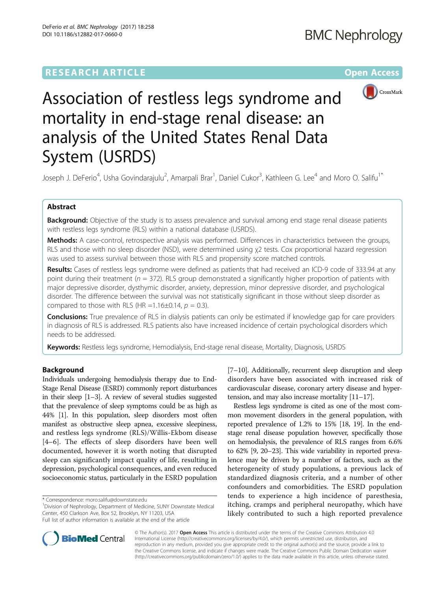## **RESEARCH ARTICLE External Structure Community Community Community Community Community Community Community Community**



# Association of restless legs syndrome and mortality in end-stage renal disease: an analysis of the United States Renal Data System (USRDS)

Joseph J. DeFerio<sup>4</sup>, Usha Govindarajulu<sup>2</sup>, Amarpali Brar<sup>1</sup>, Daniel Cukor<sup>3</sup>, Kathleen G. Lee<sup>4</sup> and Moro O. Salifu<sup>1\*</sup>

## Abstract

Background: Objective of the study is to assess prevalence and survival among end stage renal disease patients with restless legs syndrome (RLS) within a national database (USRDS).

Methods: A case-control, retrospective analysis was performed. Differences in characteristics between the groups, RLS and those with no sleep disorder (NSD), were determined using χ2 tests. Cox proportional hazard regression was used to assess survival between those with RLS and propensity score matched controls.

Results: Cases of restless legs syndrome were defined as patients that had received an ICD-9 code of 333.94 at any point during their treatment ( $n = 372$ ). RLS group demonstrated a significantly higher proportion of patients with major depressive disorder, dysthymic disorder, anxiety, depression, minor depressive disorder, and psychological disorder. The difference between the survival was not statistically significant in those without sleep disorder as compared to those with RLS (HR = 1.16 $\pm$ 0.14,  $p = 0.3$ ).

**Conclusions:** True prevalence of RLS in dialysis patients can only be estimated if knowledge gap for care providers in diagnosis of RLS is addressed. RLS patients also have increased incidence of certain psychological disorders which needs to be addressed.

Keywords: Restless legs syndrome, Hemodialysis, End-stage renal disease, Mortality, Diagnosis, USRDS

## Background

Individuals undergoing hemodialysis therapy due to End-Stage Renal Disease (ESRD) commonly report disturbances in their sleep [\[1](#page-6-0)–[3\]](#page-6-0). A review of several studies suggested that the prevalence of sleep symptoms could be as high as 44% [\[1\]](#page-6-0). In this population, sleep disorders most often manifest as obstructive sleep apnea, excessive sleepiness, and restless legs syndrome (RLS)/Willis-Ekbom disease [[4](#page-7-0)–[6\]](#page-7-0). The effects of sleep disorders have been well documented, however it is worth noting that disrupted sleep can significantly impact quality of life, resulting in depression, psychological consequences, and even reduced socioeconomic status, particularly in the ESRD population

Division of Nephrology, Department of Medicine, SUNY Downstate Medical Center, 450 Clarkson Ave, Box 52, Brooklyn, NY 11203, USA Full list of author information is available at the end of the article

[[7](#page-7-0)–[10](#page-7-0)]. Additionally, recurrent sleep disruption and sleep disorders have been associated with increased risk of cardiovascular disease, coronary artery disease and hypertension, and may also increase mortality [[11](#page-7-0)–[17\]](#page-7-0).

Restless legs syndrome is cited as one of the most common movement disorders in the general population, with reported prevalence of 1.2% to 15% [\[18, 19](#page-7-0)]. In the endstage renal disease population however, specifically those on hemodialysis, the prevalence of RLS ranges from 6.6% to 62% [[9](#page-7-0), [20](#page-7-0)–[23](#page-7-0)]. This wide variability in reported prevalence may be driven by a number of factors, such as the heterogeneity of study populations, a previous lack of standardized diagnosis criteria, and a number of other confounders and comorbidities. The ESRD population tends to experience a high incidence of paresthesia, itching, cramps and peripheral neuropathy, which have likely contributed to such a high reported prevalence



© The Author(s). 2017 **Open Access** This article is distributed under the terms of the Creative Commons Attribution 4.0 International License [\(http://creativecommons.org/licenses/by/4.0/](http://creativecommons.org/licenses/by/4.0/)), which permits unrestricted use, distribution, and reproduction in any medium, provided you give appropriate credit to the original author(s) and the source, provide a link to the Creative Commons license, and indicate if changes were made. The Creative Commons Public Domain Dedication waiver [\(http://creativecommons.org/publicdomain/zero/1.0/](http://creativecommons.org/publicdomain/zero/1.0/)) applies to the data made available in this article, unless otherwise stated.

<sup>\*</sup> Correspondence: [moro.salifu@downstate.edu](mailto:moro.salifu@downstate.edu) <sup>1</sup>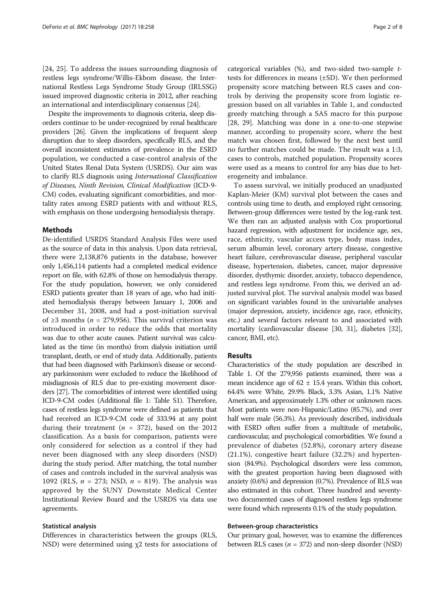[[24, 25](#page-7-0)]. To address the issues surrounding diagnosis of restless legs syndrome/Willis-Ekbom disease, the International Restless Legs Syndrome Study Group (IRLSSG) issued improved diagnostic criteria in 2012, after reaching an international and interdisciplinary consensus [[24](#page-7-0)].

Despite the improvements to diagnosis criteria, sleep disorders continue to be under-recognized by renal healthcare providers [\[26\]](#page-7-0). Given the implications of frequent sleep disruption due to sleep disorders, specifically RLS, and the overall inconsistent estimates of prevalence in the ESRD population, we conducted a case-control analysis of the United States Renal Data System (USRDS). Our aim was to clarify RLS diagnosis using International Classification of Diseases, Ninth Revision, Clinical Modification (ICD-9- CM) codes, evaluating significant comorbidities, and mortality rates among ESRD patients with and without RLS, with emphasis on those undergoing hemodialysis therapy.

#### Methods

De-identified USRDS Standard Analysis Files were used as the source of data in this analysis. Upon data retrieval, there were 2,138,876 patients in the database, however only 1,456,114 patients had a completed medical evidence report on file, with 62.8% of those on hemodialysis therapy. For the study population, however, we only considered ESRD patients greater than 18 years of age, who had initiated hemodialysis therapy between January 1, 2006 and December 31, 2008, and had a post-initiation survival of ≥3 months (*n* = 279,956). This survival criterion was introduced in order to reduce the odds that mortality was due to other acute causes. Patient survival was calculated as the time (in months) from dialysis initiation until transplant, death, or end of study data. Additionally, patients that had been diagnosed with Parkinson's disease or secondary parkinsonism were excluded to reduce the likelihood of misdiagnosis of RLS due to pre-existing movement disorders [\[27\]](#page-7-0). The comorbidities of interest were identified using ICD-9-CM codes (Additional file [1](#page-6-0): Table S1). Therefore, cases of restless legs syndrome were defined as patients that had received an ICD-9-CM code of 333.94 at any point during their treatment ( $n = 372$ ), based on the 2012 classification. As a basis for comparison, patients were only considered for selection as a control if they had never been diagnosed with any sleep disorders (NSD) during the study period. After matching, the total number of cases and controls included in the survival analysis was 1092 (RLS,  $n = 273$ ; NSD,  $n = 819$ ). The analysis was approved by the SUNY Downstate Medical Center Institutional Review Board and the USRDS via data use agreements.

#### Statistical analysis

Differences in characteristics between the groups (RLS, NSD) were determined using  $\chi$ 2 tests for associations of categorical variables  $(\%)$ , and two-sided two-sample ttests for differences in means (±SD). We then performed propensity score matching between RLS cases and controls by deriving the propensity score from logistic regression based on all variables in Table [1,](#page-2-0) and conducted greedy matching through a SAS macro for this purpose [[28, 29](#page-7-0)]. Matching was done in a one-to-one stepwise manner, according to propensity score, where the best match was chosen first, followed by the next best until no further matches could be made. The result was a 1:3, cases to controls, matched population. Propensity scores were used as a means to control for any bias due to heterogeneity and imbalance.

To assess survival, we initially produced an unadjusted Kaplan-Meier (KM) survival plot between the cases and controls using time to death, and employed right censoring. Between-group differences were tested by the log-rank test. We then ran an adjusted analysis with Cox proportional hazard regression, with adjustment for incidence age, sex, race, ethnicity, vascular access type, body mass index, serum albumin level, coronary artery disease, congestive heart failure, cerebrovascular disease, peripheral vascular disease, hypertension, diabetes, cancer, major depressive disorder, dysthymic disorder, anxiety, tobacco dependence, and restless legs syndrome. From this, we derived an adjusted survival plot. The survival analysis model was based on significant variables found in the univariable analyses (major depression, anxiety, incidence age, race, ethnicity, etc.) and several factors relevant to and associated with mortality (cardiovascular disease [\[30, 31](#page-7-0)], diabetes [[32](#page-7-0)], cancer, BMI, etc).

### Results

Characteristics of the study population are described in Table [1](#page-2-0). Of the 279,956 patients examined, there was a mean incidence age of  $62 \pm 15.4$  years. Within this cohort, 64.4% were White, 29.9% Black, 3.3% Asian, 1.1% Native American, and approximately 1.3% other or unknown races. Most patients were non-Hispanic/Latino (85.7%), and over half were male (56.3%). As previously described, individuals with ESRD often suffer from a multitude of metabolic, cardiovascular, and psychological comorbidities. We found a prevalence of diabetes (52.8%), coronary artery disease (21.1%), congestive heart failure (32.2%) and hypertension (84.9%). Psychological disorders were less common, with the greatest proportion having been diagnosed with anxiety (0.6%) and depression (0.7%). Prevalence of RLS was also estimated in this cohort. Three hundred and seventytwo documented cases of diagnosed restless legs syndrome were found which represents 0.1% of the study population.

#### Between-group characteristics

Our primary goal, however, was to examine the differences between RLS cases ( $n = 372$ ) and non-sleep disorder (NSD)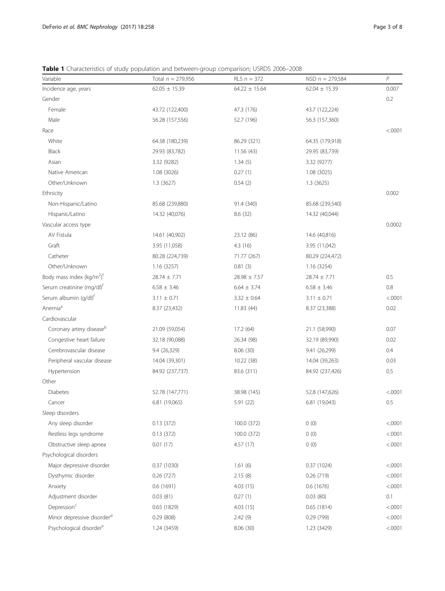<span id="page-2-0"></span>Table 1 Characteristics of study population and between-group comparison; USRDS 2006-2008

| Variable                                          | Total $n = 279,956$ | RLS $n = 372$     | NSD $n = 279,584$ | $\,P$   |
|---------------------------------------------------|---------------------|-------------------|-------------------|---------|
| Incidence age, years                              | $62.05 \pm 15.39$   | $64.22 \pm 15.64$ | $62.04 \pm 15.39$ | 0.007   |
| Gender                                            |                     |                   |                   | 0.2     |
| Female                                            | 43.72 (122,400)     | 47.3 (176)        | 43.7 (122,224)    |         |
| Male                                              | 56.28 (157,556)     | 52.7 (196)        | 56.3 (157,360)    |         |
| Race                                              |                     |                   |                   | < .0001 |
| White                                             | 64.38 (180,239)     | 86.29 (321)       | 64.35 (179,918)   |         |
| Black                                             | 29.93 (83,782)      | 11.56 (43)        | 29.95 (83,739)    |         |
| Asian                                             | 3.32 (9282)         | 1.34(5)           | 3.32 (9277)       |         |
| Native American                                   | 1.08 (3026)         | 0.27(1)           | 1.08 (3025)       |         |
| Other/Unknown                                     | 1.3 (3627)          | 0.54(2)           | 1.3(3625)         |         |
| Ethnicity                                         |                     |                   |                   | 0.002   |
| Non-Hispanic/Latino                               | 85.68 (239,880)     | 91.4 (340)        | 85.68 (239,540)   |         |
| Hispanic/Latino                                   | 14.32 (40,076)      | 8.6(32)           | 14.32 (40,044)    |         |
| Vascular access type                              |                     |                   |                   | 0.0002  |
| AV Fistula                                        | 14.61 (40,902)      | 23.12 (86)        | 14.6 (40,816)     |         |
| Graft                                             | 3.95 (11,058)       | 4.3(16)           | 3.95 (11,042)     |         |
| Catheter                                          | 80.28 (224,739)     | 71.77 (267)       | 80.29 (224,472)   |         |
| Other/Unknown                                     | 1.16(3257)          | 0.81(3)           | 1.16 (3254)       |         |
| Body mass index (kg/m <sup>2</sup> ) <sup>f</sup> | $28.74 \pm 7.71$    | $28.98 \pm 7.57$  | $28.74 \pm 7.71$  | 0.5     |
| Serum creatinine (mg/dl) <sup>f</sup>             | $6.58 \pm 3.46$     | $6.64 \pm 3.74$   | $6.58 \pm 3.46$   | 0.8     |
| Serum albumin (g/dl)f                             | $3.11 \pm 0.71$     | $3.32 \pm 0.64$   | $3.11\pm0.71$     | < .0001 |
| Anemia <sup>a</sup>                               | 8.37 (23,432)       | 11.83 (44)        | 8.37 (23,388)     | 0.02    |
| Cardiovascular                                    |                     |                   |                   |         |
| Coronary artery diseaseb                          | 21.09 (59,054)      | 17.2(64)          | 21.1 (58,990)     | 0.07    |
| Congestive heart failure                          | 32.18 (90,088)      | 26.34 (98)        | 32.19 (89,990)    | 0.02    |
| Cerebrovascular disease                           | 9.4 (26,329)        | 8.06 (30)         | 9.41 (26,299)     | 0.4     |
| Peripheral vascular disease                       | 14.04 (39,301)      | 10.22 (38)        | 14.04 (39,263)    | 0.03    |
| Hypertension                                      | 84.92 (237,737)     | 83.6 (311)        | 84.92 (237,426)   | 0.5     |
| Other                                             |                     |                   |                   |         |
| Diabetes                                          | 52.78 (147,771)     | 38.98 (145)       | 52.8 (147,626)    | < .0001 |
| Cancer                                            | 6.81 (19,065)       | 5.91 (22)         | 6.81 (19,043)     | 0.5     |
| Sleep disorders                                   |                     |                   |                   |         |
| Any sleep disorder                                | 0.13(372)           | 100.0 (372)       | 0(0)              | < .0001 |
| Restless legs syndrome                            | 0.13(372)           | 100.0 (372)       | 0(0)              | < .0001 |
| Obstructive sleep apnea                           | 0.01(17)            | 4.57(17)          | 0(0)              | < .0001 |
| Psychological disorders                           |                     |                   |                   |         |
| Major depressive disorder                         | 0.37(1030)          | 1.61(6)           | 0.37(1024)        | < .0001 |
| Dysthymic disorder                                | 0.26(727)           | 2.15(8)           | 0.26(719)         | < .0001 |
| Anxiety                                           | 0.6(1691)           | 4.03(15)          | 0.6(1676)         | < .0001 |
| Adjustment disorder                               | 0.03(81)            | 0.27(1)           | 0.03(80)          | 0.1     |
| Depression <sup>c</sup>                           | 0.65(1829)          | 4.03(15)          | 0.65(1814)        | < .0001 |
| Minor depressive disorder <sup>d</sup>            | 0.29(808)           | 2.42(9)           | 0.29(799)         | < .0001 |
| Psychological disorder <sup>e</sup>               | 1.24 (3459)         | 8.06 (30)         | 1.23 (3429)       | < .0001 |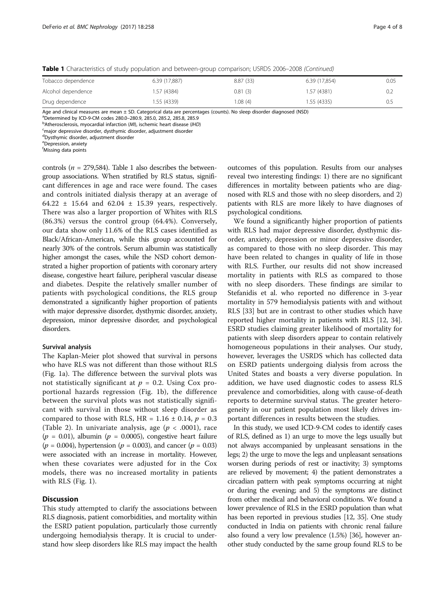Table 1 Characteristics of study population and between-group comparison; USRDS 2006-2008 (Continued)

| Tobacco dependence | 6.39 (17,887) | 8.87(33) | 6.39 (17,854) | 0.05 |
|--------------------|---------------|----------|---------------|------|
| Alcohol dependence | 1.57 (4384)   | 0.81(3)  | 1.57 (4381)   | 0.2  |
| Drug dependence    | 1.55 (4339)   | 1.08(4)  | 1.55(4335)    | 0.5  |

Age and clinical measures are mean ± SD. Categorical data are percentages (counts). No sleep disorder diagnosed (NSD)

 $^{\text{a}}$ Determined by ICD-9-CM codes 280.0–280.9, 285.0, 285.2, 285.8, 285.9<br>bAtherosclerosis, myocardial infarction (M), ischemic beart disease (IHC

<sup>b</sup>Atherosclerosis, myocardial infarction (MI), ischemic heart disease (IHD)

major depressive disorder, dysthymic disorder, adjustment disorder d Dysthymic disorder, adjustment disorder

e Depression, anxiety

f Missing data points

controls ( $n = 279,584$ ). Table [1](#page-2-0) also describes the betweengroup associations. When stratified by RLS status, significant differences in age and race were found. The cases and controls initiated dialysis therapy at an average of 64.22 ± 15.64 and 62.04 ± 15.39 years, respectively. There was also a larger proportion of Whites with RLS (86.3%) versus the control group (64.4%). Conversely, our data show only 11.6% of the RLS cases identified as Black/African-American, while this group accounted for nearly 30% of the controls. Serum albumin was statistically higher amongst the cases, while the NSD cohort demonstrated a higher proportion of patients with coronary artery disease, congestive heart failure, peripheral vascular disease and diabetes. Despite the relatively smaller number of patients with psychological conditions, the RLS group demonstrated a significantly higher proportion of patients with major depressive disorder, dysthymic disorder, anxiety, depression, minor depressive disorder, and psychological disorders.

#### Survival analysis

The Kaplan-Meier plot showed that survival in persons who have RLS was not different than those without RLS (Fig. [1a\)](#page-4-0). The difference between the survival plots was not statistically significant at  $p = 0.2$ . Using Cox proportional hazards regression (Fig. [1b\)](#page-4-0), the difference between the survival plots was not statistically significant with survival in those without sleep disorder as compared to those with RLS, HR =  $1.16 \pm 0.14$ ,  $p = 0.3$ (Table [2](#page-5-0)). In univariate analysis, age ( $p < .0001$ ), race  $(p = 0.01)$ , albumin  $(p = 0.0005)$ , congestive heart failure  $(p = 0.004)$ , hypertension  $(p = 0.003)$ , and cancer  $(p = 0.03)$ were associated with an increase in mortality. However, when these covariates were adjusted for in the Cox models, there was no increased mortality in patients with RLS (Fig. [1\)](#page-4-0).

#### **Discussion**

This study attempted to clarify the associations between RLS diagnosis, patient comorbidities, and mortality within the ESRD patient population, particularly those currently undergoing hemodialysis therapy. It is crucial to understand how sleep disorders like RLS may impact the health outcomes of this population. Results from our analyses reveal two interesting findings: 1) there are no significant differences in mortality between patients who are diagnosed with RLS and those with no sleep disorders, and 2) patients with RLS are more likely to have diagnoses of psychological conditions.

We found a significantly higher proportion of patients with RLS had major depressive disorder, dysthymic disorder, anxiety, depression or minor depressive disorder, as compared to those with no sleep disorder. This may have been related to changes in quality of life in those with RLS. Further, our results did not show increased mortality in patients with RLS as compared to those with no sleep disorders. These findings are similar to Stefanidis et al. who reported no difference in 3-year mortality in 579 hemodialysis patients with and without RLS [[33\]](#page-7-0) but are in contrast to other studies which have reported higher mortality in patients with RLS [[12](#page-7-0), [34](#page-7-0)]. ESRD studies claiming greater likelihood of mortality for patients with sleep disorders appear to contain relatively homogeneous populations in their analyses. Our study, however, leverages the USRDS which has collected data on ESRD patients undergoing dialysis from across the United States and boasts a very diverse population. In addition, we have used diagnostic codes to assess RLS prevalence and comorbidities, along with cause-of-death reports to determine survival status. The greater heterogeneity in our patient population most likely drives important differences in results between the studies.

In this study, we used ICD-9-CM codes to identify cases of RLS, defined as 1) an urge to move the legs usually but not always accompanied by unpleasant sensations in the legs; 2) the urge to move the legs and unpleasant sensations worsen during periods of rest or inactivity; 3) symptoms are relieved by movement; 4) the patient demonstrates a circadian pattern with peak symptoms occurring at night or during the evening; and 5) the symptoms are distinct from other medical and behavioral conditions. We found a lower prevalence of RLS in the ESRD population than what has been reported in previous studies [\[12, 35\]](#page-7-0). One study conducted in India on patients with chronic renal failure also found a very low prevalence (1.5%) [\[36](#page-7-0)], however another study conducted by the same group found RLS to be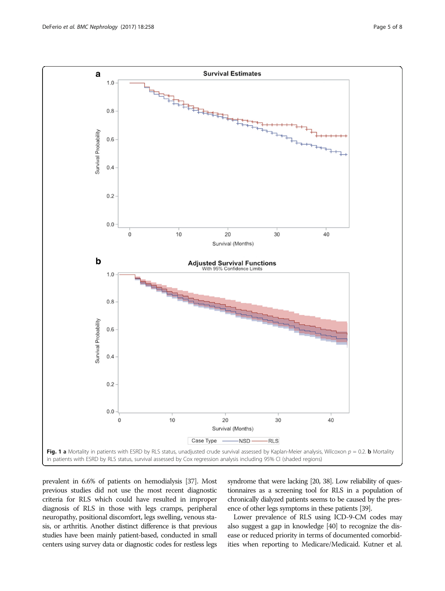<span id="page-4-0"></span>

prevalent in 6.6% of patients on hemodialysis [\[37\]](#page-7-0). Most previous studies did not use the most recent diagnostic criteria for RLS which could have resulted in improper diagnosis of RLS in those with legs cramps, peripheral neuropathy, positional discomfort, legs swelling, venous stasis, or arthritis. Another distinct difference is that previous studies have been mainly patient-based, conducted in small centers using survey data or diagnostic codes for restless legs

syndrome that were lacking [\[20](#page-7-0), [38](#page-7-0)]. Low reliability of questionnaires as a screening tool for RLS in a population of chronically dialyzed patients seems to be caused by the presence of other legs symptoms in these patients [\[39](#page-7-0)].

Lower prevalence of RLS using ICD-9-CM codes may also suggest a gap in knowledge [\[40](#page-7-0)] to recognize the disease or reduced priority in terms of documented comorbidities when reporting to Medicare/Medicaid. Kutner et al.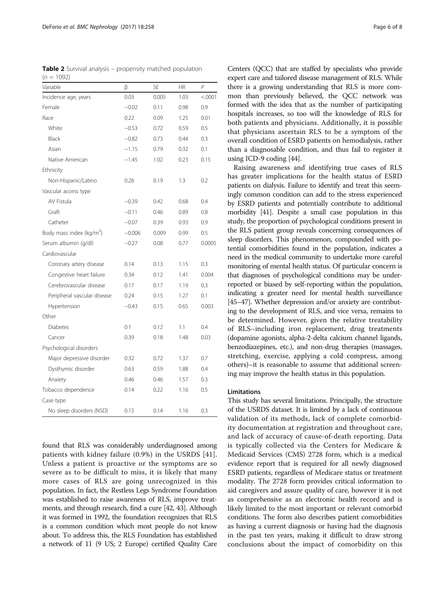<span id="page-5-0"></span>Table 2 Survival analysis - propensity matched population  $(n = 1092)$ 

| Variable                    | β        | SF    | <b>HR</b> | P       |
|-----------------------------|----------|-------|-----------|---------|
| Incidence age, years        | 0.03     | 0.005 | 1.03      | < .0001 |
| Female                      | $-0.02$  | 0.11  | 0.98      | 0.9     |
| Race                        | 0.22     | 0.09  | 1.25      | 0.01    |
| White                       | $-0.53$  | 0.72  | 0.59      | 0.5     |
| Black                       | $-0.82$  | 0.73  | 0.44      | 0.3     |
| Asian                       | $-1.15$  | 0.79  | 0.32      | 0.1     |
| Native American             | $-1.45$  | 1.02  | 0.23      | 0.15    |
| Ethnicity                   |          |       |           |         |
| Non-Hispanic/Latino         | 0.26     | 0.19  | 1.3       | 0.2     |
| Vascular access type        |          |       |           |         |
| AV Fistula                  | $-0.39$  | 0.42  | 0.68      | 0.4     |
| Graft                       | $-0.11$  | 0.46  | 0.89      | 0.8     |
| Catheter                    | $-0.07$  | 0.39  | 0.93      | 0.9     |
| Body mass index ( $kg/m2$ ) | $-0.006$ | 0.009 | 0.99      | 0.5     |
| Serum albumin (g/dl)        | $-0.27$  | 0.08  | 0.77      | 0.0005  |
| Cardiovascular              |          |       |           |         |
| Coronary artery disease     | 0.14     | 0.13  | 1.15      | 0.3     |
| Congestive heart failure    | 0.34     | 0.12  | 1.41      | 0.004   |
| Cerebrovascular disease     | 0.17     | 0.17  | 1.19      | 0.3     |
| Peripheral vascular disease | 0.24     | 0.15  | 1.27      | 0.1     |
| Hypertension                | $-0.43$  | 0.15  | 0.65      | 0.003   |
| Other                       |          |       |           |         |
| <b>Diabetes</b>             | 0.1      | 0.12  | 1.1       | 0.4     |
| Cancer                      | 0.39     | 0.18  | 1.48      | 0.03    |
| Psychological disorders     |          |       |           |         |
| Major depressive disorder   | 0.32     | 0.72  | 1.37      | 0.7     |
| Dysthymic disorder          | 0.63     | 0.59  | 1.88      | 0.4     |
| Anxiety                     | 0.46     | 0.46  | 1.57      | 0.3     |
| Tobacco dependence          | 0.14     | 0.22  | 1.16      | 0.5     |
| Case type                   |          |       |           |         |
| No sleep disorders (NSD)    | 0.15     | 0.14  | 1.16      | 0.3     |

found that RLS was considerably underdiagnosed among patients with kidney failure (0.9%) in the USRDS [[41](#page-7-0)]. Unless a patient is proactive or the symptoms are so severe as to be difficult to miss, it is likely that many more cases of RLS are going unrecognized in this population. In fact, the Restless Legs Syndrome Foundation was established to raise awareness of RLS, improve treatments, and through research, find a cure [\[42, 43\]](#page-7-0). Although it was formed in 1992, the foundation recognizes that RLS is a common condition which most people do not know about. To address this, the RLS Foundation has established a network of 11 (9 US; 2 Europe) certified Quality Care

Centers (QCC) that are staffed by specialists who provide expert care and tailored disease management of RLS. While there is a growing understanding that RLS is more common than previously believed, the QCC network was formed with the idea that as the number of participating hospitals increases, so too will the knowledge of RLS for both patients and physicians. Additionally, it is possible that physicians ascertain RLS to be a symptom of the overall condition of ESRD patients on hemodialysis, rather than a diagnosable condition, and thus fail to register it using ICD-9 coding [\[44\]](#page-7-0).

Raising awareness and identifying true cases of RLS has greater implications for the health status of ESRD patients on dialysis. Failure to identify and treat this seemingly common condition can add to the stress experienced by ESRD patients and potentially contribute to additional morbidity [\[41\]](#page-7-0). Despite a small case population in this study, the proportion of psychological conditions present in the RLS patient group reveals concerning consequences of sleep disorders. This phenomenon, compounded with potential comorbidities found in the population, indicates a need in the medical community to undertake more careful monitoring of mental health status. Of particular concern is that diagnoses of psychological conditions may be underreported or biased by self-reporting within the population, indicating a greater need for mental health surveillance [[45](#page-7-0)–[47](#page-7-0)]. Whether depression and/or anxiety are contributing to the development of RLS, and vice versa, remains to be determined. However, given the relative treatability of RLS–including iron replacement, drug treatments (dopamine agonists, alpha-2-delta calcium channel ligands, benzodiazepines, etc.), and non-drug therapies (massages, stretching, exercise, applying a cold compress, among others)–it is reasonable to assume that additional screening may improve the health status in this population.

#### Limitations

This study has several limitations. Principally, the structure of the USRDS dataset. It is limited by a lack of continuous validation of its methods, lack of complete comorbidity documentation at registration and throughout care, and lack of accuracy of cause-of-death reporting. Data is typically collected via the Centers for Medicare & Medicaid Services (CMS) 2728 form, which is a medical evidence report that is required for all newly diagnosed ESRD patients, regardless of Medicare status or treatment modality. The 2728 form provides critical information to aid caregivers and assure quality of care, however it is not as comprehensive as an electronic health record and is likely limited to the most important or relevant comorbid conditions. The form also describes patient comorbidities as having a current diagnosis or having had the diagnosis in the past ten years, making it difficult to draw strong conclusions about the impact of comorbidity on this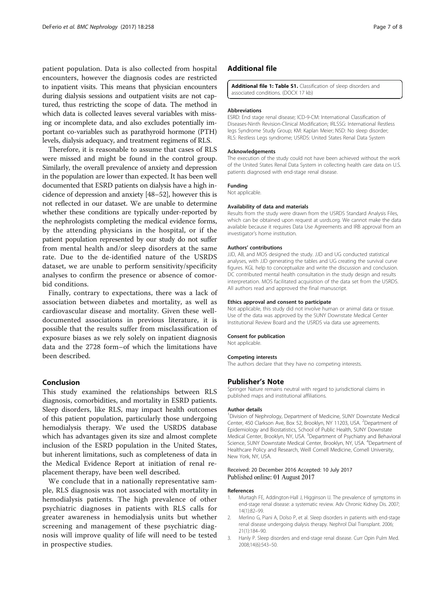<span id="page-6-0"></span>patient population. Data is also collected from hospital encounters, however the diagnosis codes are restricted to inpatient visits. This means that physician encounters during dialysis sessions and outpatient visits are not captured, thus restricting the scope of data. The method in which data is collected leaves several variables with missing or incomplete data, and also excludes potentially important co-variables such as parathyroid hormone (PTH) levels, dialysis adequacy, and treatment regimens of RLS.

Therefore, it is reasonable to assume that cases of RLS were missed and might be found in the control group. Similarly, the overall prevalence of anxiety and depression in the population are lower than expected. It has been well documented that ESRD patients on dialysis have a high incidence of depression and anxiety [[48](#page-7-0)–[52\]](#page-7-0), however this is not reflected in our dataset. We are unable to determine whether these conditions are typically under-reported by the nephrologists completing the medical evidence forms, by the attending physicians in the hospital, or if the patient population represented by our study do not suffer from mental health and/or sleep disorders at the same rate. Due to the de-identified nature of the USRDS dataset, we are unable to perform sensitivity/specificity analyses to confirm the presence or absence of comorbid conditions.

Finally, contrary to expectations, there was a lack of association between diabetes and mortality, as well as cardiovascular disease and mortality. Given these welldocumented associations in previous literature, it is possible that the results suffer from misclassification of exposure biases as we rely solely on inpatient diagnosis data and the 2728 form–of which the limitations have been described.

## Conclusion

This study examined the relationships between RLS diagnosis, comorbidities, and mortality in ESRD patients. Sleep disorders, like RLS, may impact health outcomes of this patient population, particularly those undergoing hemodialysis therapy. We used the USRDS database which has advantages given its size and almost complete inclusion of the ESRD population in the United States, but inherent limitations, such as completeness of data in the Medical Evidence Report at initiation of renal replacement therapy, have been well described.

We conclude that in a nationally representative sample, RLS diagnosis was not associated with mortality in hemodialysis patients. The high prevalence of other psychiatric diagnoses in patients with RLS calls for greater awareness in hemodialysis units but whether screening and management of these psychiatric diagnosis will improve quality of life will need to be tested in prospective studies.

## Additional file

[Additional file 1: Table S1.](dx.doi.org/10.1186/s12882-017-0660-0) Classification of sleep disorders and associated conditions. (DOCX 17 kb)

#### Abbreviations

ESRD: End stage renal disease; ICD-9-CM: International Classification of Diseases-Ninth Revision-Clinical Modification; IRLSSG: International Restless legs Syndrome Study Group; KM: Kaplan Meier; NSD: No sleep disorder; RLS: Restless Legs syndrome; USRDS: United States Renal Data System

#### Acknowledgements

The execution of the study could not have been achieved without the work of the United States Renal Data System in collecting health care data on U.S. patients diagnosed with end-stage renal disease.

#### Funding

Not applicable.

#### Availability of data and materials

Results from the study were drawn from the USRDS Standard Analysis Files, which can be obtained upon request at [usrds.org.](http://usrds.org) We cannot make the data available because it requires Data Use Agreements and IRB approval from an investigator's home institution.

#### Authors' contributions

JJD, AB, and MOS designed the study. JJD and UG conducted statistical analyses, with JJD generating the tables and UG creating the survival curve figures. KGL help to conceptualize and write the discussion and conclusion. DC contributed mental health consultation in the study design and results interpretation. MOS facilitated acquisition of the data set from the USRDS. All authors read and approved the final manuscript.

#### Ethics approval and consent to participate

Not applicable, this study did not involve human or animal data or tissue. Use of the data was approved by the SUNY Downstate Medical Center Institutional Review Board and the USRDS via data use agreements.

#### Consent for publication

Not applicable.

#### Competing interests

The authors declare that they have no competing interests.

#### Publisher's Note

Springer Nature remains neutral with regard to jurisdictional claims in published maps and institutional affiliations.

#### Author details

<sup>1</sup> Division of Nephrology, Department of Medicine, SUNY Downstate Medical Center, 450 Clarkson Ave, Box 52, Brooklyn, NY 11203, USA. <sup>2</sup>Department of Epidemiology and Biostatistics, School of Public Health, SUNY Downstate Medical Center, Brooklyn, NY, USA. <sup>3</sup>Department of Psychiatry and Behavioral Science, SUNY Downstate Medical Center, Brooklyn, NY, USA. <sup>4</sup>Department of Healthcare Policy and Research, Weill Cornell Medicine, Cornell University, New York, NY, USA.

#### Received: 20 December 2016 Accepted: 10 July 2017 Published online: 01 August 2017

#### References

- 1. Murtagh FE, Addington-Hall J, Higginson IJ. The prevalence of symptoms in end-stage renal disease: a systematic review. Adv Chronic Kidney Dis. 2007; 14(1):82–99.
- 2. Merlino G, Piani A, Dolso P, et al. Sleep disorders in patients with end-stage renal disease undergoing dialysis therapy. Nephrol Dial Transplant. 2006; 21(1):184–90.
- 3. Hanly P. Sleep disorders and end-stage renal disease. Curr Opin Pulm Med. 2008;14(6):543–50.